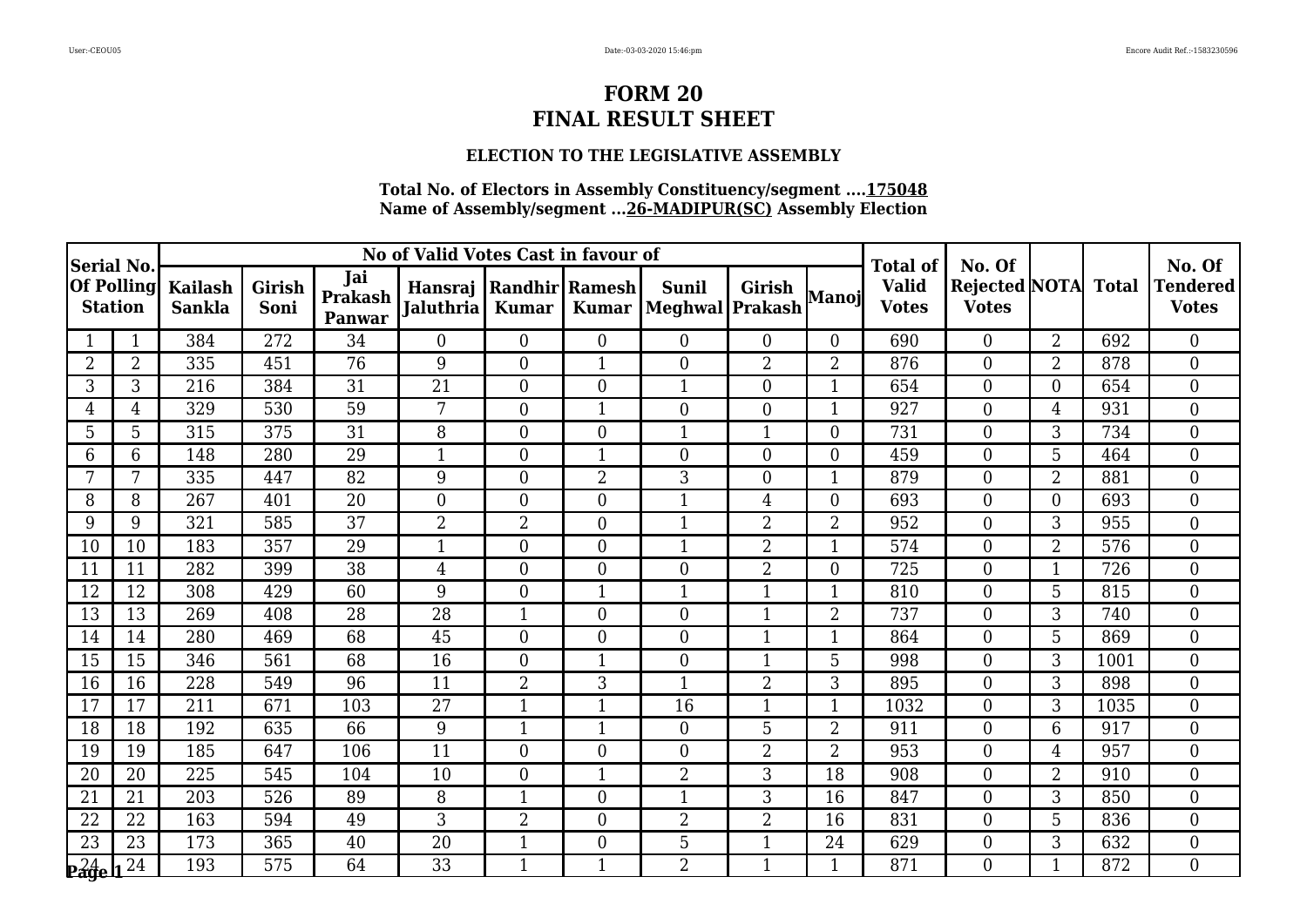### **ELECTION TO THE LEGISLATIVE ASSEMBLY**

| Serial No.                       |                   | No of Valid Votes Cast in favour of |                |                                 |                                                  |                  |                |                                  |                  |                | <b>Total of</b>              | No. Of                                     |                |      | No. Of                          |
|----------------------------------|-------------------|-------------------------------------|----------------|---------------------------------|--------------------------------------------------|------------------|----------------|----------------------------------|------------------|----------------|------------------------------|--------------------------------------------|----------------|------|---------------------------------|
| <b>Station</b>                   | <b>Of Polling</b> | <b>Kailash</b><br><b>Sankla</b>     | Girish<br>Soni | Jai<br><b>Prakash</b><br>Panwar | Hansraj   Randhir   Ramesh  <br><b>Jaluthria</b> | <b>Kumar</b>     | <b>Kumar</b>   | <b>Sunil</b><br> Meghwal Prakash | Girish           | Manoj          | <b>Valid</b><br><b>Votes</b> | <b>Rejected NOTA</b> Total<br><b>Votes</b> |                |      | <b>Tendered</b><br><b>Votes</b> |
|                                  |                   | 384                                 | 272            | 34                              | $\overline{0}$                                   | $\overline{0}$   | $\overline{0}$ | $\overline{0}$                   | $\overline{0}$   | $\Omega$       | 690                          | $\overline{0}$                             | $\overline{2}$ | 692  | $\overline{0}$                  |
| $\overline{2}$                   | $\overline{2}$    | 335                                 | 451            | 76                              | 9                                                | $\overline{0}$   | 1              | $\boldsymbol{0}$                 | $\overline{2}$   | $\overline{2}$ | 876                          | $\overline{0}$                             | $2^{\circ}$    | 878  | $\overline{0}$                  |
| 3                                | 3                 | 216                                 | 384            | 31                              | 21                                               | $\overline{0}$   | $\overline{0}$ | $\mathbf{1}$                     | $\overline{0}$   | 1              | 654                          | $\overline{0}$                             | $\Omega$       | 654  | $\overline{0}$                  |
| 4                                | 4                 | 329                                 | 530            | $\overline{59}$                 | 7                                                | $\overline{0}$   | $\mathbf{1}$   | $\overline{0}$                   | $\mathbf{0}$     |                | 927                          | $\overline{0}$                             | 4              | 931  | $\overline{0}$                  |
| 5                                | 5                 | 315                                 | 375            | 31                              | 8                                                | $\overline{0}$   | $\overline{0}$ | $\mathbf 1$                      | $\mathbf 1$      | $\overline{0}$ | 731                          | $\overline{0}$                             | 3              | 734  | $\overline{0}$                  |
| 6                                | 6                 | 148                                 | 280            | 29                              | $\mathbf{1}$                                     | $\overline{0}$   | 1              | $\boldsymbol{0}$                 | $\mathbf{0}$     | $\Omega$       | 459                          | $\boldsymbol{0}$                           | 5              | 464  | $\overline{0}$                  |
|                                  | 7                 | 335                                 | 447            | 82                              | 9                                                | $\overline{0}$   | $\overline{2}$ | 3                                | $\boldsymbol{0}$ | 1              | 879                          | $\overline{0}$                             | $\overline{2}$ | 881  | $\overline{0}$                  |
| 8                                | 8                 | 267                                 | 401            | 20                              | $\overline{0}$                                   | $\overline{0}$   | $\overline{0}$ | 1                                | 4                | $\overline{0}$ | 693                          | $\overline{0}$                             | $\overline{0}$ | 693  | $\overline{0}$                  |
| 9                                | 9                 | 321                                 | 585            | $\overline{37}$                 | $\overline{2}$                                   | $\overline{2}$   | $\overline{0}$ | $\overline{1}$                   | $\overline{2}$   | $\overline{2}$ | 952                          | $\overline{0}$                             | 3              | 955  | $\overline{0}$                  |
| 10                               | 10                | 183                                 | 357            | 29                              | $\mathbf{1}$                                     | $\overline{0}$   | $\overline{0}$ | $\mathbf{1}$                     | $\overline{2}$   | 1              | 574                          | $\overline{0}$                             | $\overline{2}$ | 576  | $\overline{0}$                  |
| 11                               | 11                | 282                                 | 399            | 38                              | $\overline{4}$                                   | $\overline{0}$   | $\overline{0}$ | $\boldsymbol{0}$                 | $\overline{2}$   | $\Omega$       | 725                          | $\mathbf{0}$                               |                | 726  | $\overline{0}$                  |
| 12                               | 12                | 308                                 | 429            | 60                              | 9                                                | $\boldsymbol{0}$ | $\mathbf{1}$   | $\mathbf{1}$                     | $\mathbf{1}$     | 1              | 810                          | $\mathbf{0}$                               | 5              | 815  | $\boldsymbol{0}$                |
| 13                               | 13                | 269                                 | 408            | 28                              | 28                                               | $\mathbf{1}$     | $\overline{0}$ | $\overline{0}$                   | $\mathbf{1}$     | $\overline{2}$ | 737                          | $\overline{0}$                             | 3              | 740  | $\overline{0}$                  |
| 14                               | 14                | 280                                 | 469            | 68                              | 45                                               | $\overline{0}$   | $\overline{0}$ | $\boldsymbol{0}$                 | $\mathbf{1}$     |                | 864                          | $\mathbf{0}$                               | 5              | 869  | $\overline{0}$                  |
| 15                               | 15                | 346                                 | 561            | 68                              | 16                                               | $\boldsymbol{0}$ | 1              | $\overline{0}$                   | $\mathbf{1}$     | 5              | 998                          | $\overline{0}$                             | 3              | 1001 | $\overline{0}$                  |
| 16                               | 16                | 228                                 | 549            | 96                              | 11                                               | $\overline{2}$   | 3              | $\mathbf{1}$                     | $\overline{2}$   | 3              | 895                          | $\overline{0}$                             | 3              | 898  | $\overline{0}$                  |
| 17                               | 17                | 211                                 | 671            | 103                             | 27                                               | $\mathbf{1}$     | 1              | 16                               | $\mathbf 1$      | $\mathbf 1$    | 1032                         | $\overline{0}$                             | 3              | 1035 | $\overline{0}$                  |
| 18                               | 18                | 192                                 | 635            | 66                              | 9                                                | 1                | $\mathbf{1}$   | $\overline{0}$                   | 5                | $\overline{2}$ | 911                          | $\overline{0}$                             | 6              | 917  | $\overline{0}$                  |
| 19                               | 19                | 185                                 | 647            | 106                             | 11                                               | $\overline{0}$   | $\overline{0}$ | $\overline{0}$                   | $\overline{2}$   | $\overline{2}$ | 953                          | $\overline{0}$                             | $\overline{4}$ | 957  | $\mathbf{0}$                    |
| 20                               | 20                | 225                                 | 545            | 104                             | 10                                               | $\boldsymbol{0}$ | 1              | $\overline{2}$                   | 3                | 18             | 908                          | $\boldsymbol{0}$                           | $\overline{2}$ | 910  | $\overline{0}$                  |
| 21                               | 21                | 203                                 | 526            | 89                              | 8                                                | $\mathbf{1}$     | $\overline{0}$ | $\mathbf{1}$                     | 3                | 16             | 847                          | $\overline{0}$                             | 3              | 850  | $\overline{0}$                  |
| 22                               | 22                | 163                                 | 594            | 49                              | 3                                                | 2                | $\overline{0}$ | $\overline{2}$                   | $\overline{2}$   | 16             | 831                          | $\mathbf{0}$                               | 5              | 836  | $\overline{0}$                  |
| $\overline{23}$                  | 23                | 173                                 | 365            | 40                              | $\overline{20}$                                  | $\mathbf{1}$     | $\overline{0}$ | $\overline{5}$                   | $\mathbf{1}$     | 24             | 629                          | $\mathbf{0}$                               | 3              | 632  | $\overline{0}$                  |
| $\mathbf{p}^{24}_{\mathbf{age}}$ | 24                | 193                                 | 575            | 64                              | 33                                               | $\mathbf{1}$     | $\mathbf{1}$   | $\overline{2}$                   | $\mathbf{1}$     | 1              | 871                          | $\overline{0}$                             | $\mathbf{1}$   | 872  | $\Omega$                        |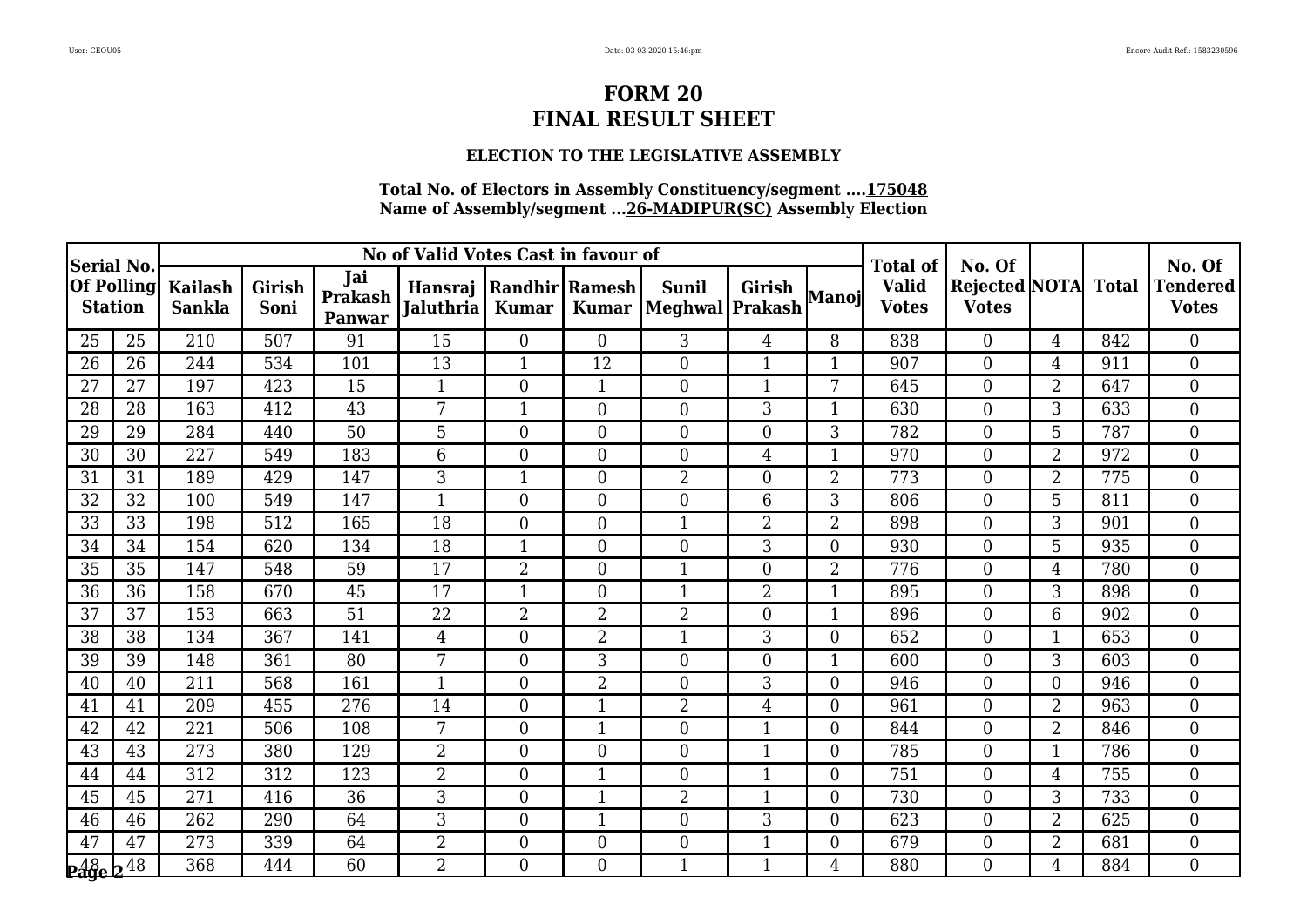### **ELECTION TO THE LEGISLATIVE ASSEMBLY**

| Serial No.      |                   | No of Valid Votes Cast in favour of |                |                          |                                                  |                  |                |                                  |                |                | <b>Total of</b>              | No. Of                                     |                |     | No. Of                          |
|-----------------|-------------------|-------------------------------------|----------------|--------------------------|--------------------------------------------------|------------------|----------------|----------------------------------|----------------|----------------|------------------------------|--------------------------------------------|----------------|-----|---------------------------------|
| <b>Station</b>  | <b>Of Polling</b> | <b>Kailash</b><br><b>Sankla</b>     | Girish<br>Soni | Jai<br>Prakash<br>Panwar | Hansraj   Randhir   Ramesh  <br><b>Jaluthria</b> | <b>Kumar</b>     | <b>Kumar</b>   | <b>Sunil</b><br> Meghwal Prakash | <b>Girish</b>  | Manoj          | <b>Valid</b><br><b>Votes</b> | <b>Rejected NOTA</b> Total<br><b>Votes</b> |                |     | <b>Tendered</b><br><b>Votes</b> |
| 25              | 25                | 210                                 | 507            | 91                       | 15                                               | $\boldsymbol{0}$ | $\overline{0}$ | 3                                | $\overline{4}$ | 8              | 838                          | $\overline{0}$                             | $\overline{4}$ | 842 | $\overline{0}$                  |
| 26              | 26                | 244                                 | 534            | 101                      | 13                                               | $\mathbf{1}$     | 12             | $\overline{0}$                   | $\mathbf{1}$   | $\mathbf{1}$   | 907                          | $\overline{0}$                             | $\overline{4}$ | 911 | $\overline{0}$                  |
| 27              | 27                | 197                                 | 423            | 15                       | $\mathbf{1}$                                     | $\overline{0}$   | 1              | $\overline{0}$                   | $\mathbf{1}$   | 7              | 645                          | $\overline{0}$                             | $\overline{2}$ | 647 | $\overline{0}$                  |
| $\overline{28}$ | 28                | 163                                 | 412            | $\overline{43}$          | $\overline{7}$                                   | $\mathbf{1}$     | $\overline{0}$ | $\overline{0}$                   | 3              | 1              | 630                          | $\overline{0}$                             | 3              | 633 | $\overline{0}$                  |
| 29              | 29                | 284                                 | 440            | 50                       | 5                                                | $\overline{0}$   | $\overline{0}$ | $\boldsymbol{0}$                 | $\mathbf{0}$   | 3              | 782                          | $\overline{0}$                             | 5              | 787 | $\overline{0}$                  |
| 30              | 30                | 227                                 | 549            | 183                      | 6                                                | $\overline{0}$   | $\overline{0}$ | $\boldsymbol{0}$                 | 4              |                | 970                          | $\overline{0}$                             | $\overline{2}$ | 972 | $\boldsymbol{0}$                |
| 31              | 31                | 189                                 | 429            | 147                      | 3                                                | $\mathbf{1}$     | $\overline{0}$ | $\overline{2}$                   | $\overline{0}$ | $\overline{2}$ | 773                          | $\overline{0}$                             | $\overline{2}$ | 775 | $\theta$                        |
| 32              | 32                | 100                                 | 549            | 147                      | 1                                                | 0                | $\overline{0}$ | $\boldsymbol{0}$                 | 6              | 3              | 806                          | $\overline{0}$                             | 5              | 811 | $\overline{0}$                  |
| 33              | 33                | 198                                 | 512            | 165                      | 18                                               | $\boldsymbol{0}$ | $\overline{0}$ | $\mathbf{1}$                     | $\overline{2}$ | $\overline{2}$ | 898                          | $\boldsymbol{0}$                           | 3              | 901 | $\overline{0}$                  |
| 34              | 34                | 154                                 | 620            | 134                      | 18                                               | $\mathbf{1}$     | $\overline{0}$ | $\overline{0}$                   | 3              | 0              | 930                          | $\overline{0}$                             | 5              | 935 | $\overline{0}$                  |
| 35              | 35                | 147                                 | 548            | 59                       | 17                                               | $\overline{2}$   | $\overline{0}$ | 1                                | $\overline{0}$ | $\overline{2}$ | 776                          | $\mathbf{0}$                               | 4              | 780 | $\overline{0}$                  |
| 36              | 36                | 158                                 | 670            | 45                       | 17                                               | $\overline{1}$   | $\overline{0}$ | $\mathbf{1}$                     | $\overline{2}$ | 1              | 895                          | $\overline{0}$                             | 3              | 898 | $\overline{0}$                  |
| 37              | 37                | 153                                 | 663            | $\overline{51}$          | $\overline{22}$                                  | $\overline{2}$   | $\overline{2}$ | $\overline{2}$                   | $\theta$       | 1              | 896                          | $\theta$                                   | 6              | 902 | $\overline{0}$                  |
| 38              | 38                | 134                                 | 367            | 141                      | 4                                                | $\overline{0}$   | $\overline{2}$ | 1                                | 3              | $\Omega$       | 652                          | $\overline{0}$                             |                | 653 | $\theta$                        |
| 39              | 39                | 148                                 | 361            | 80                       | 7                                                | $\boldsymbol{0}$ | 3              | $\overline{0}$                   | $\mathbf{0}$   |                | 600                          | $\overline{0}$                             | 3              | 603 | $\overline{0}$                  |
| 40              | 40                | 211                                 | 568            | 161                      | $\mathbf{1}$                                     | $\overline{0}$   | $\overline{2}$ | $\overline{0}$                   | 3              | $\Omega$       | 946                          | $\overline{0}$                             | $\overline{0}$ | 946 | $\overline{0}$                  |
| 41              | 41                | 209                                 | 455            | 276                      | 14                                               | $\overline{0}$   | 1              | $\overline{2}$                   | 4              | $\Omega$       | 961                          | $\overline{0}$                             | $\overline{2}$ | 963 | $\overline{0}$                  |
| 42              | 42                | 221                                 | 506            | 108                      | 7                                                | $\overline{0}$   | 1              | $\overline{0}$                   | $\mathbf{1}$   | 0              | 844                          | $\overline{0}$                             | $\overline{2}$ | 846 | $\overline{0}$                  |
| 43              | 43                | 273                                 | 380            | 129                      | $\overline{2}$                                   | $\overline{0}$   | $\overline{0}$ | $\boldsymbol{0}$                 | $\mathbf{1}$   | $\Omega$       | 785                          | $\boldsymbol{0}$                           | $\mathbf{1}$   | 786 | $\overline{0}$                  |
| 44              | 44                | 312                                 | 312            | 123                      | $\overline{2}$                                   | $\boldsymbol{0}$ | 1              | $\overline{0}$                   | $\mathbf{1}$   | $\Omega$       | 751                          | $\boldsymbol{0}$                           | $\overline{4}$ | 755 | $\boldsymbol{0}$                |
| 45              | 45                | 271                                 | 416            | 36                       | $\overline{3}$                                   | $\overline{0}$   | $\overline{1}$ | $\overline{2}$                   | $\mathbf{1}$   | 0              | 730                          | $\overline{0}$                             | 3              | 733 | $\overline{0}$                  |
| 46              | 46                | 262                                 | 290            | 64                       | 3                                                | $\overline{0}$   | 1              | $\overline{0}$                   | 3              | $\Omega$       | 623                          | $\overline{0}$                             | 2              | 625 | $\overline{0}$                  |
| 47              | 47                | 273                                 | 339            | 64                       | $\overline{2}$                                   | $\overline{0}$   | $\overline{0}$ | $\overline{0}$                   | $\mathbf{1}$   | $\Omega$       | 679                          | $\overline{0}$                             | $\overline{2}$ | 681 | $\overline{0}$                  |
| $248 - 248$     |                   | 368                                 | 444            | 60                       | $\overline{2}$                                   | $\overline{0}$   | 0              | $\mathbf{1}$                     | $\mathbf{1}$   | 4              | 880                          | $\Omega$                                   | 4              | 884 | $\Omega$                        |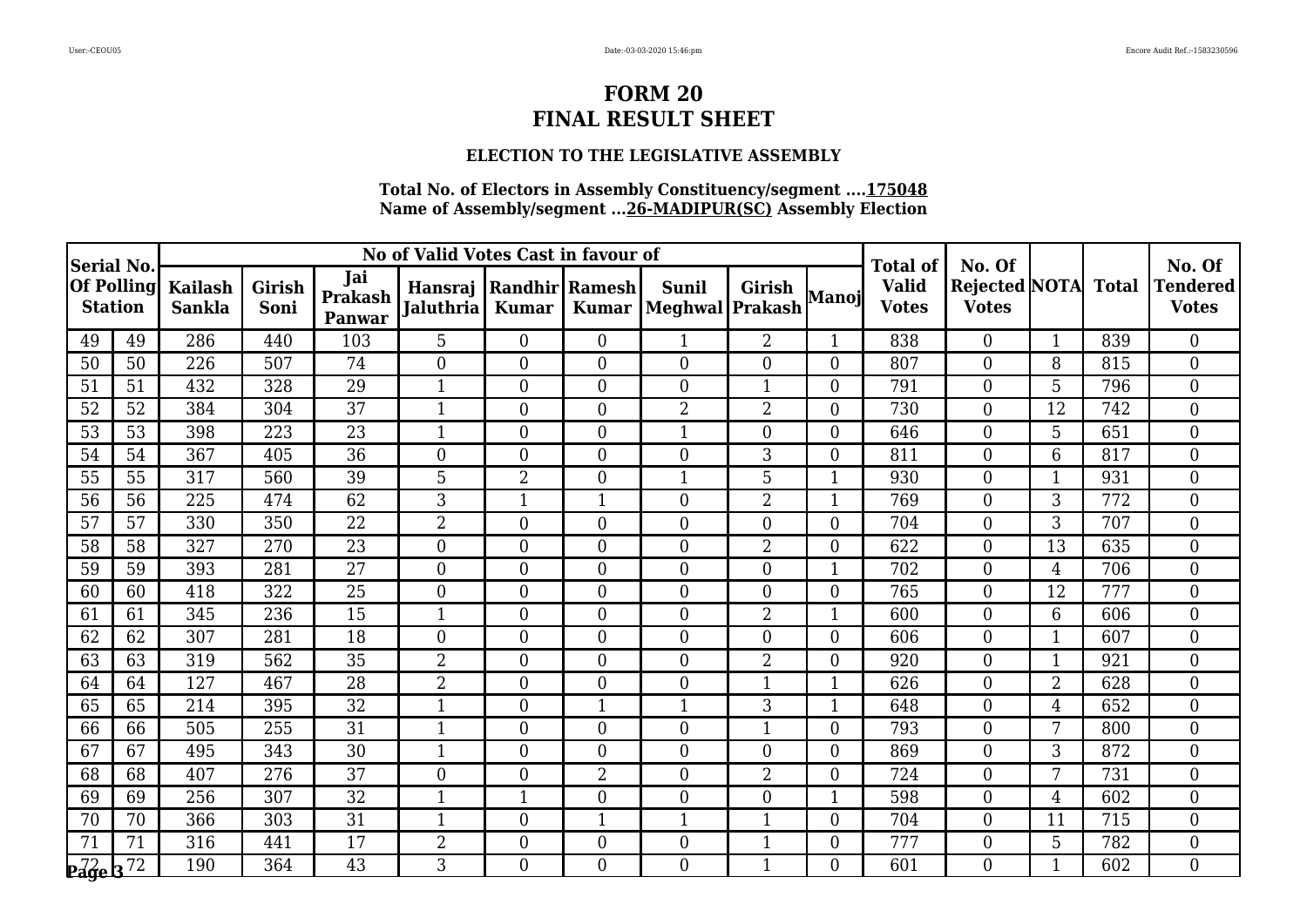### **ELECTION TO THE LEGISLATIVE ASSEMBLY**

| Serial No.                                   |                   |                                 |                |                          | No of Valid Votes Cast in favour of        |                  |                |                                  | <b>Total of</b>         | No. Of         |                              |                                            | No. Of          |     |                                 |
|----------------------------------------------|-------------------|---------------------------------|----------------|--------------------------|--------------------------------------------|------------------|----------------|----------------------------------|-------------------------|----------------|------------------------------|--------------------------------------------|-----------------|-----|---------------------------------|
| <b>Station</b>                               | <b>Of Polling</b> | <b>Kailash</b><br><b>Sankla</b> | Girish<br>Soni | Jai<br>Prakash<br>Panwar | Hansraj Randhir Ramesh<br><b>Jaluthria</b> | <b>Kumar</b>     | <b>Kumar</b>   | <b>Sunil</b><br> Meghwal Prakash | <b>Girish</b>           | Manoj          | <b>Valid</b><br><b>Votes</b> | <b>Rejected NOTA</b> Total<br><b>Votes</b> |                 |     | <b>Tendered</b><br><b>Votes</b> |
| 49                                           | 49                | 286                             | 440            | 103                      | 5                                          | $\overline{0}$   | $\overline{0}$ | $\mathbf{1}$                     | $\overline{2}$          | 1              | 838                          | $\overline{0}$                             |                 | 839 | $\overline{0}$                  |
| 50                                           | 50                | 226                             | 507            | 74                       | $\overline{0}$                             | $\overline{0}$   | $\overline{0}$ | $\boldsymbol{0}$                 | $\mathbf{0}$            | $\Omega$       | 807                          | $\overline{0}$                             | 8               | 815 | $\overline{0}$                  |
| 51                                           | 51                | 432                             | 328            | 29                       | $\mathbf{1}$                               | $\overline{0}$   | $\overline{0}$ | $\boldsymbol{0}$                 | $\mathbf{1}$            | $\Omega$       | 791                          | $\overline{0}$                             | 5               | 796 | $\boldsymbol{0}$                |
| 52                                           | 52                | 384                             | 304            | $\overline{37}$          | $\overline{1}$                             | $\overline{0}$   | $\overline{0}$ | $\overline{2}$                   | $\overline{2}$          | 0              | 730                          | $\overline{0}$                             | 12              | 742 | $\overline{0}$                  |
| 53                                           | 53                | 398                             | 223            | 23                       | $\mathbf{1}$                               | $\overline{0}$   | $\overline{0}$ | $\mathbf 1$                      | $\overline{0}$          | $\Omega$       | 646                          | $\overline{0}$                             | $5\overline{)}$ | 651 | $\overline{0}$                  |
| 54                                           | 54                | 367                             | 405            | 36                       | $\overline{0}$                             | $\overline{0}$   | $\overline{0}$ | $\boldsymbol{0}$                 | 3                       | $\Omega$       | 811                          | $\boldsymbol{0}$                           | 6               | 817 | $\overline{0}$                  |
| 55                                           | 55                | 317                             | 560            | 39                       | 5                                          | $\overline{2}$   | $\overline{0}$ | $\mathbf{1}$                     | 5                       | 1              | 930                          | $\overline{0}$                             | $\mathbf{1}$    | 931 | $\overline{0}$                  |
| 56                                           | 56                | 225                             | 474            | 62                       | 3                                          | 1                | $\mathbf{1}$   | $\boldsymbol{0}$                 | $\overline{2}$          |                | 769                          | $\mathbf{0}$                               | 3               | 772 | $\overline{0}$                  |
| 57                                           | 57                | 330                             | 350            | $\overline{22}$          | $\overline{2}$                             | $\boldsymbol{0}$ | $\overline{0}$ | $\overline{0}$                   | $\mathbf{0}$            | $\overline{0}$ | 704                          | $\mathbf{0}$                               | 3               | 707 | $\overline{0}$                  |
| 58                                           | 58                | 327                             | 270            | $\overline{23}$          | $\overline{0}$                             | $\overline{0}$   | $\overline{0}$ | $\overline{0}$                   | $\overline{2}$          | $\Omega$       | 622                          | $\overline{0}$                             | 13              | 635 | $\overline{0}$                  |
| 59                                           | 59                | 393                             | 281            | 27                       | $\overline{0}$                             | $\overline{0}$   | $\overline{0}$ | $\boldsymbol{0}$                 | $\mathbf{0}$            |                | 702                          | $\overline{0}$                             | 4               | 706 | $\overline{0}$                  |
| 60                                           | 60                | 418                             | 322            | 25                       | $\boldsymbol{0}$                           | $\mathbf{0}$     | $\overline{0}$ | $\overline{0}$                   | $\mathbf{0}$            | 0              | 765                          | $\mathbf{0}$                               | 12              | 777 | $\boldsymbol{0}$                |
| 61                                           | 61                | 345                             | 236            | 15                       | $\mathbf{1}$                               | $\overline{0}$   | $\overline{0}$ | $\boldsymbol{0}$                 | $\overline{2}$          | 1              | 600                          | $\boldsymbol{0}$                           | 6               | 606 | $\overline{0}$                  |
| 62                                           | 62                | 307                             | 281            | 18                       | $\overline{0}$                             | $\overline{0}$   | $\overline{0}$ | $\overline{0}$                   | $\mathbf{0}$            | $\Omega$       | 606                          | $\boldsymbol{0}$                           | $\mathbf{1}$    | 607 | $\boldsymbol{0}$                |
| 63                                           | 63                | 319                             | 562            | $\overline{35}$          | $\overline{2}$                             | $\boldsymbol{0}$ | $\overline{0}$ | $\overline{0}$                   | $\overline{2}$          | 0              | 920                          | $\mathbf{0}$                               | $\mathbf{1}$    | 921 | $\overline{0}$                  |
| 64                                           | 64                | 127                             | 467            | 28                       | $\overline{2}$                             | $\overline{0}$   | $\overline{0}$ | $\overline{0}$                   | 1                       |                | 626                          | $\boldsymbol{0}$                           | $\overline{2}$  | 628 | $\mathbf{0}$                    |
| 65                                           | 65                | 214                             | 395            | 32                       | $\mathbf{1}$                               | $\boldsymbol{0}$ | $\mathbf{1}$   | $\mathbf{1}$                     | 3                       | 1              | 648                          | $\boldsymbol{0}$                           | $\overline{4}$  | 652 | $\boldsymbol{0}$                |
| 66                                           | 66                | 505                             | 255            | $\overline{31}$          | $\overline{1}$                             | $\overline{0}$   | $\overline{0}$ | $\overline{0}$                   | $\mathbf{1}$            | $\Omega$       | 793                          | $\overline{0}$                             | 7               | 800 | $\theta$                        |
| 67                                           | 67                | 495                             | 343            | 30                       | $\mathbf{1}$                               | $\overline{0}$   | $\overline{0}$ | $\overline{0}$                   | $\overline{0}$          | 0              | 869                          | $\overline{0}$                             | 3               | 872 | $\overline{0}$                  |
| 68                                           | 68                | 407                             | 276            | 37                       | $\overline{0}$                             | $\overline{0}$   | $\overline{2}$ | $\overline{0}$                   | $\overline{2}$          | $\Omega$       | 724                          | $\boldsymbol{0}$                           | 7               | 731 | $\overline{0}$                  |
| 69                                           | 69                | 256                             | 307            | 32                       | $\mathbf{1}$                               | $\mathbf{1}$     | $\overline{0}$ | $\overline{0}$                   | $\overline{0}$          | 1              | 598                          | $\overline{0}$                             | $\overline{4}$  | 602 | $\theta$                        |
| 70                                           | 70                | 366                             | 303            | $\overline{31}$          | $\mathbf{1}$                               | $\overline{0}$   |                | $\mathbf{1}$                     | $\mathbf{1}$            | $\Omega$       | 704                          | $\overline{0}$                             | 11              | 715 | $\overline{0}$                  |
| 71                                           | 71                | 316                             | 441            | 17                       | $\overline{2}$                             | $\boldsymbol{0}$ | $\overline{0}$ | $\boldsymbol{0}$                 | $\mathbf{1}$            | $\overline{0}$ | 777                          | $\mathbf{0}$                               | $5\phantom{.}$  | 782 | $\boldsymbol{0}$                |
| $\mathbf{q}$ age $\mathbf{q}$ $\overline{z}$ |                   | 190                             | 364            | 43                       | 3                                          | $\Omega$         | 0              | $\Omega$                         | $\overline{\mathbf{1}}$ | 0              | 601                          | $\Omega$                                   | 1               | 602 | $\Omega$                        |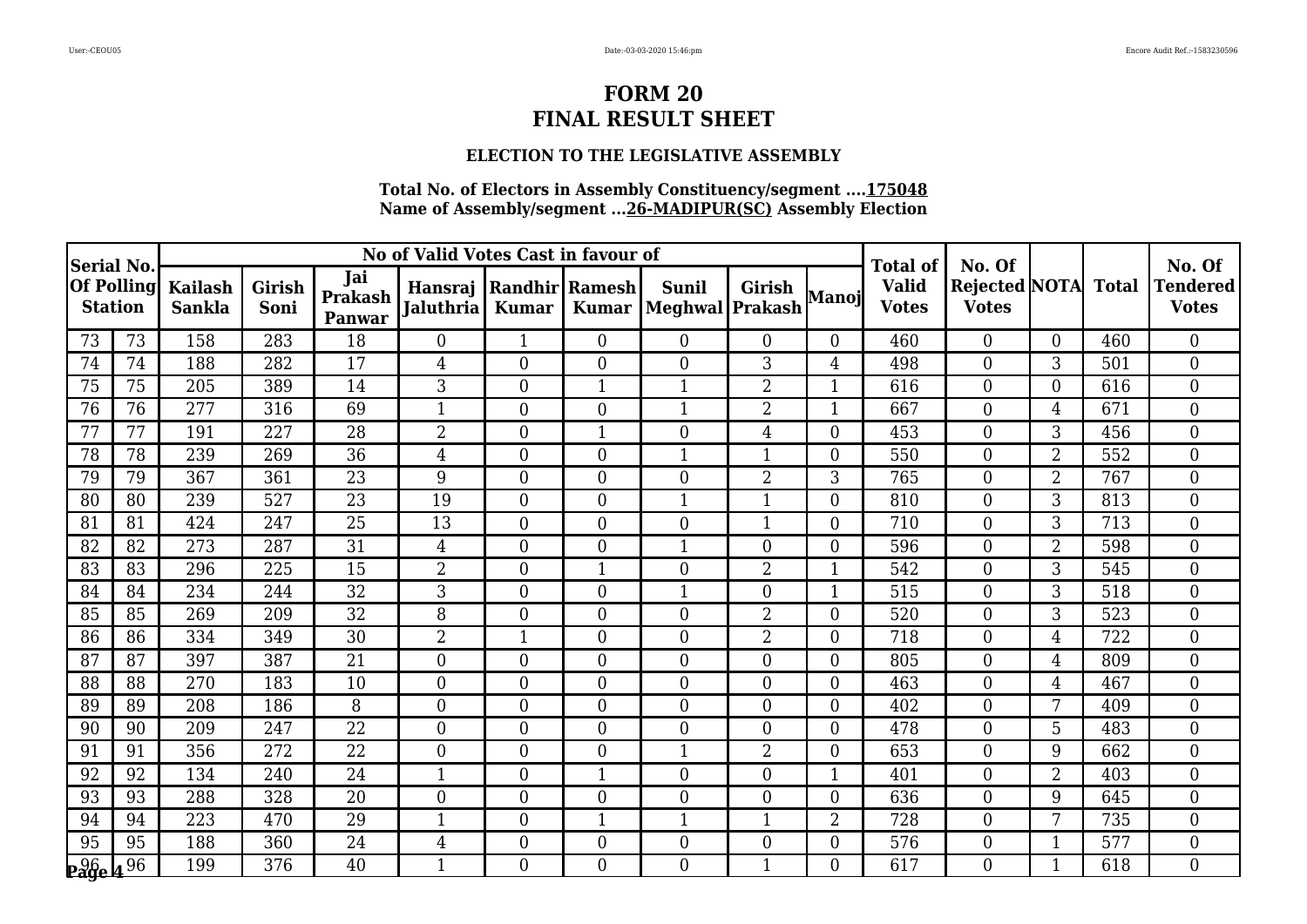### **ELECTION TO THE LEGISLATIVE ASSEMBLY**

| Serial No.     |                   | No of Valid Votes Cast in favour of |                |                          |                                                  |                  |                |                                  |                  |                | <b>Total of</b>              | No. Of                                     |                |     | No. Of                          |
|----------------|-------------------|-------------------------------------|----------------|--------------------------|--------------------------------------------------|------------------|----------------|----------------------------------|------------------|----------------|------------------------------|--------------------------------------------|----------------|-----|---------------------------------|
| <b>Station</b> | <b>Of Polling</b> | <b>Kailash</b><br><b>Sankla</b>     | Girish<br>Soni | Jai<br>Prakash<br>Panwar | Hansraj   Randhir   Ramesh  <br><b>Jaluthria</b> | <b>Kumar</b>     | <b>Kumar</b>   | <b>Sunil</b><br> Meghwal Prakash | <b>Girish</b>    | Manoj          | <b>Valid</b><br><b>Votes</b> | <b>Rejected NOTA</b> Total<br><b>Votes</b> |                |     | <b>Tendered</b><br><b>Votes</b> |
| 73             | 73                | 158                                 | 283            | 18                       | $\boldsymbol{0}$                                 | $\mathbf{1}$     | $\overline{0}$ | $\overline{0}$                   | $\overline{0}$   | $\Omega$       | 460                          | $\overline{0}$                             | $\Omega$       | 460 | $\overline{0}$                  |
| 74             | 74                | 188                                 | 282            | 17                       | $\overline{4}$                                   | $\overline{0}$   | $\overline{0}$ | $\overline{0}$                   | 3                | 4              | 498                          | $\overline{0}$                             | 3              | 501 | $\overline{0}$                  |
| 75             | 75                | 205                                 | 389            | 14                       | 3                                                | $\overline{0}$   | 1              | $\mathbf{1}$                     | $\overline{2}$   | 1              | 616                          | $\overline{0}$                             | $\overline{0}$ | 616 | $\overline{0}$                  |
| 76             | 76                | 277                                 | 316            | 69                       | $\overline{1}$                                   | $\overline{0}$   | $\overline{0}$ | $\overline{1}$                   | $\overline{2}$   | 1              | 667                          | $\overline{0}$                             | $\overline{4}$ | 671 | $\overline{0}$                  |
| 77             | 77                | 191                                 | 227            | 28                       | $\overline{2}$                                   | $\overline{0}$   | 1              | $\overline{0}$                   | 4                | $\Omega$       | 453                          | $\overline{0}$                             | 3              | 456 | $\overline{0}$                  |
| 78             | 78                | 239                                 | 269            | 36                       | 4                                                | $\overline{0}$   | $\overline{0}$ | $\mathbf{1}$                     | $\mathbf{1}$     | $\Omega$       | 550                          | $\overline{0}$                             | $\overline{2}$ | 552 | $\boldsymbol{0}$                |
| 79             | 79                | 367                                 | 361            | 23                       | 9                                                | $\overline{0}$   | $\overline{0}$ | $\overline{0}$                   | $\overline{2}$   | 3              | 765                          | $\overline{0}$                             | $\overline{2}$ | 767 | $\theta$                        |
| 80             | 80                | 239                                 | 527            | 23                       | 19                                               | $\boldsymbol{0}$ | $\overline{0}$ | $\mathbf{1}$                     | 1                | 0              | 810                          | $\overline{0}$                             | 3              | 813 | $\overline{0}$                  |
| 81             | 81                | 424                                 | 247            | $\overline{25}$          | 13                                               | $\overline{0}$   | $\overline{0}$ | $\boldsymbol{0}$                 | $\mathbf{1}$     | $\Omega$       | 710                          | $\boldsymbol{0}$                           | 3              | 713 | $\overline{0}$                  |
| 82             | 82                | 273                                 | 287            | 31                       | $\overline{4}$                                   | $\overline{0}$   | $\overline{0}$ | $\mathbf{1}$                     | $\boldsymbol{0}$ | $\Omega$       | 596                          | $\overline{0}$                             | $\overline{2}$ | 598 | $\overline{0}$                  |
| 83             | 83                | 296                                 | 225            | 15                       | $\overline{2}$                                   | $\boldsymbol{0}$ | 1              | $\overline{0}$                   | $\overline{2}$   |                | 542                          | $\mathbf{0}$                               | 3              | 545 | $\overline{0}$                  |
| 84             | 84                | 234                                 | 244            | $\overline{32}$          | $\overline{3}$                                   | $\overline{0}$   | $\overline{0}$ | $\mathbf{1}$                     | $\overline{0}$   |                | 515                          | $\overline{0}$                             | 3              | 518 | $\overline{0}$                  |
| 85             | 85                | 269                                 | 209            | $\overline{32}$          | 8                                                | $\overline{0}$   | $\overline{0}$ | $\overline{0}$                   | $\overline{2}$   | $\Omega$       | 520                          | $\theta$                                   | 3              | 523 | $\overline{0}$                  |
| 86             | 86                | 334                                 | 349            | 30                       | $\overline{2}$                                   | $\mathbf{1}$     | $\overline{0}$ | $\overline{0}$                   | $\overline{2}$   | $\Omega$       | 718                          | $\overline{0}$                             | 4              | 722 | $\theta$                        |
| 87             | 87                | 397                                 | 387            | 21                       | $\boldsymbol{0}$                                 | $\boldsymbol{0}$ | $\overline{0}$ | $\overline{0}$                   | $\mathbf{0}$     | $\Omega$       | 805                          | $\overline{0}$                             | 4              | 809 | $\overline{0}$                  |
| 88             | 88                | 270                                 | 183            | 10                       | $\overline{0}$                                   | $\overline{0}$   | $\overline{0}$ | $\overline{0}$                   | $\overline{0}$   | $\Omega$       | 463                          | $\overline{0}$                             | $\overline{4}$ | 467 | $\overline{0}$                  |
| 89             | 89                | 208                                 | 186            | 8                        | $\overline{0}$                                   | $\overline{0}$   | $\overline{0}$ | $\boldsymbol{0}$                 | $\mathbf{0}$     | $\Omega$       | 402                          | $\boldsymbol{0}$                           | 7              | 409 | $\overline{0}$                  |
| 90             | 90                | 209                                 | 247            | $\overline{22}$          | $\overline{0}$                                   | $\overline{0}$   | $\overline{0}$ | $\overline{0}$                   | $\overline{0}$   | 0              | 478                          | $\overline{0}$                             | $5\phantom{.}$ | 483 | $\overline{0}$                  |
| 91             | 91                | 356                                 | 272            | 22                       | $\overline{0}$                                   | $\overline{0}$   | $\overline{0}$ | $\mathbf{1}$                     | $\overline{2}$   | $\Omega$       | 653                          | $\boldsymbol{0}$                           | 9              | 662 | $\overline{0}$                  |
| 92             | 92                | 134                                 | 240            | 24                       | $\mathbf{1}$                                     | $\boldsymbol{0}$ | 1              | $\overline{0}$                   | $\boldsymbol{0}$ | 1              | 401                          | $\boldsymbol{0}$                           | $\overline{2}$ | 403 | $\boldsymbol{0}$                |
| 93             | 93                | 288                                 | 328            | 20                       | $\overline{0}$                                   | $\overline{0}$   | $\overline{0}$ | $\overline{0}$                   | $\overline{0}$   | $\Omega$       | 636                          | $\overline{0}$                             | 9              | 645 | $\overline{0}$                  |
| 94             | 94                | 223                                 | 470            | 29                       | $\mathbf{1}$                                     | $\overline{0}$   | 1              | $\mathbf{1}$                     | 1                | $\overline{2}$ | 728                          | $\overline{0}$                             | 7              | 735 | $\overline{0}$                  |
| 95             | 95                | 188                                 | 360            | 24                       | $\overline{4}$                                   | $\overline{0}$   | $\overline{0}$ | $\overline{0}$                   | $\mathbf{0}$     | $\Omega$       | 576                          | $\mathbf{0}$                               | $\mathbf{1}$   | 577 | $\overline{0}$                  |
| $26 - 96$      |                   | 199                                 | 376            | 40                       | $\mathbf{1}$                                     | $\overline{0}$   | 0              | $\overline{0}$                   | $\mathbf{1}$     | $\Omega$       | 617                          | $\overline{0}$                             | 1              | 618 | $\Omega$                        |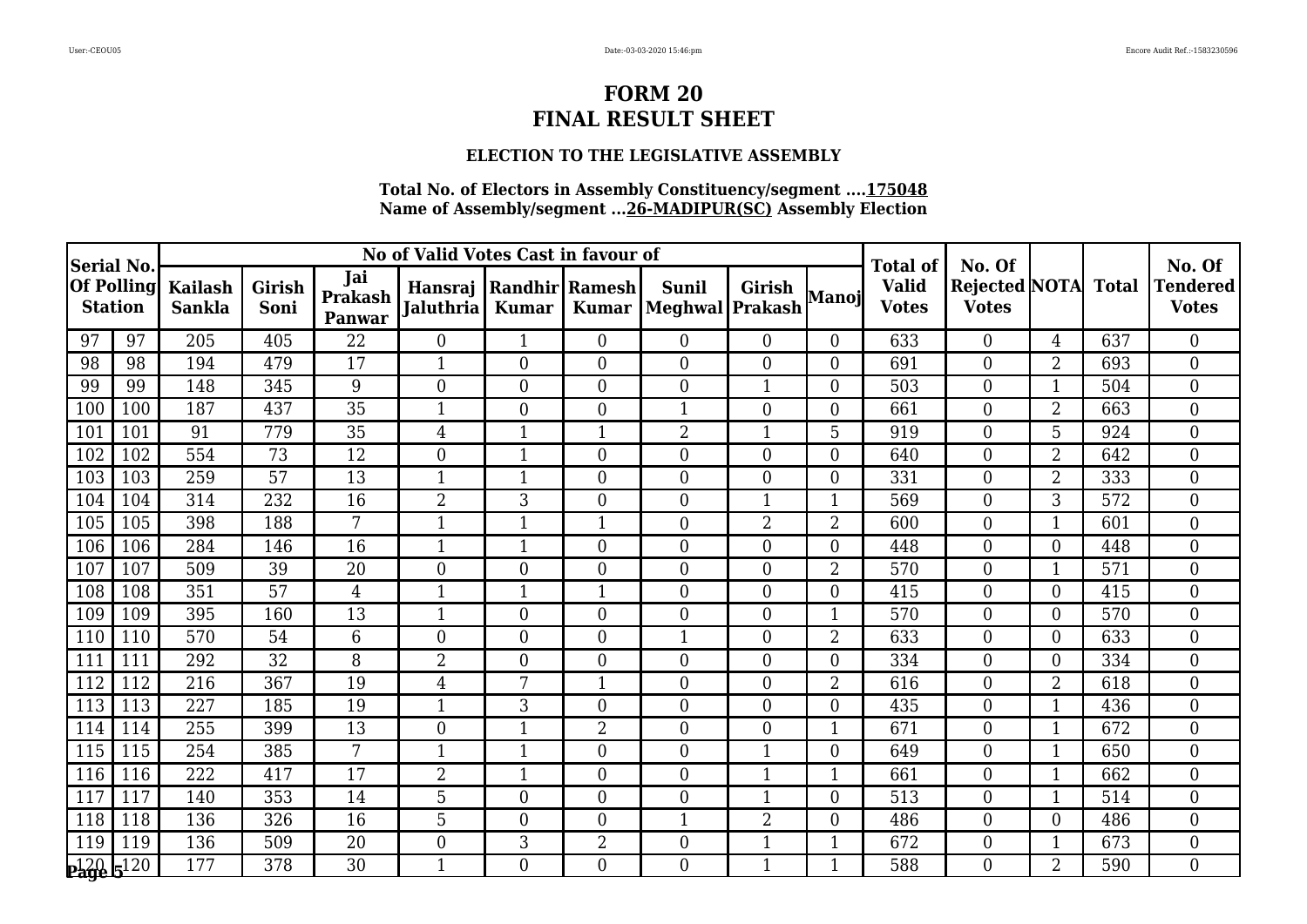### **ELECTION TO THE LEGISLATIVE ASSEMBLY**

| <b>Serial No.</b>                   |     |                                 |                |                                 | No of Valid Votes Cast in favour of        |                  |                |                                  | <b>Total of</b>  | No. Of         |                              |                                    | No. Of          |              |                          |
|-------------------------------------|-----|---------------------------------|----------------|---------------------------------|--------------------------------------------|------------------|----------------|----------------------------------|------------------|----------------|------------------------------|------------------------------------|-----------------|--------------|--------------------------|
| <b>Of Polling</b><br><b>Station</b> |     | <b>Kailash</b><br><b>Sankla</b> | Girish<br>Soni | Jai<br><b>Prakash</b><br>Panwar | Hansraj Randhir Ramesh<br><b>Jaluthria</b> | <b>Kumar</b>     | <b>Kumar</b>   | <b>Sunil</b><br> Meghwal Prakash | <b>Girish</b>    | Manoj          | <b>Valid</b><br><b>Votes</b> | Rejected   NOTA   <br><b>Votes</b> |                 | <b>Total</b> | Tendered<br><b>Votes</b> |
| 97                                  | 97  | 205                             | 405            | 22                              | $\Omega$                                   | 1                | $\overline{0}$ | $\overline{0}$                   | $\overline{0}$   | $\overline{0}$ | 633                          | $\overline{0}$                     | $\overline{4}$  | 637          | $\overline{0}$           |
| 98                                  | 98  | 194                             | 479            | 17                              | $\mathbf{1}$                               | $\boldsymbol{0}$ | $\overline{0}$ | $\boldsymbol{0}$                 | $\boldsymbol{0}$ | $\overline{0}$ | 691                          | $\mathbf{0}$                       | 2               | 693          | $\overline{0}$           |
| 99                                  | 99  | 148                             | 345            | 9                               | $\overline{0}$                             | $\overline{0}$   | $\overline{0}$ | $\boldsymbol{0}$                 | $\mathbf{1}$     | $\overline{0}$ | 503                          | $\mathbf{0}$                       | $\mathbf{1}$    | 504          | $\overline{0}$           |
| 100                                 | 100 | 187                             | 437            | $\overline{35}$                 | $\mathbf{1}$                               | $\overline{0}$   | $\overline{0}$ | $\mathbf{1}$                     | $\boldsymbol{0}$ | $\Omega$       | 661                          | $\mathbf{0}$                       | $\overline{2}$  | 663          | $\overline{0}$           |
| 101                                 | 101 | 91                              | 779            | 35                              | 4                                          | 1                | 1              | $\overline{2}$                   | $\mathbf{1}$     | 5              | 919                          | $\mathbf{0}$                       | $5\overline{)}$ | 924          | $\overline{0}$           |
| 102                                 | 102 | 554                             | 73             | 12                              | $\overline{0}$                             | $\mathbf{1}$     | $\overline{0}$ | $\overline{0}$                   | $\overline{0}$   | $\overline{0}$ | 640                          | $\overline{0}$                     | $\overline{2}$  | 642          | $\overline{0}$           |
| 103                                 | 103 | 259                             | 57             | 13                              | $\mathbf{1}$                               | $\mathbf{1}$     | $\overline{0}$ | $\overline{0}$                   | $\overline{0}$   | $\overline{0}$ | 331                          | $\overline{0}$                     | $\overline{2}$  | 333          | $\overline{0}$           |
| 104                                 | 104 | 314                             | 232            | 16                              | $\overline{2}$                             | 3                | $\overline{0}$ | $\overline{0}$                   | $\mathbf{1}$     | 1              | 569                          | $\overline{0}$                     | 3               | 572          | $\overline{0}$           |
| 105                                 | 105 | 398                             | 188            | 7                               | $\mathbf{1}$                               | $\overline{1}$   | $\mathbf{1}$   | $\overline{0}$                   | $\overline{2}$   | $\overline{2}$ | 600                          | $\overline{0}$                     | $\mathbf{1}$    | 601          | $\overline{0}$           |
| 106                                 | 106 | 284                             | 146            | 16                              | $\mathbf{1}$                               | $\mathbf{1}$     | $\overline{0}$ | $\Omega$                         | $\theta$         | 0              | 448                          | $\theta$                           | $\Omega$        | 448          | $\overline{0}$           |
| 107                                 | 107 | 509                             | 39             | 20                              | $\overline{0}$                             | 0                | $\overline{0}$ | $\overline{0}$                   | $\overline{0}$   | $\overline{2}$ | 570                          | $\overline{0}$                     |                 | 571          | $\theta$                 |
| 108                                 | 108 | 351                             | 57             | $\overline{4}$                  | $\mathbf{1}$                               | 1                | 1              | $\overline{0}$                   | $\overline{0}$   | 0              | 415                          | $\overline{0}$                     | 0               | 415          | $\overline{0}$           |
| 109                                 | 109 | 395                             | 160            | 13                              | $\mathbf{1}$                               | $\overline{0}$   | $\overline{0}$ | $\overline{0}$                   | $\boldsymbol{0}$ | 1              | 570                          | $\boldsymbol{0}$                   | $\overline{0}$  | 570          | $\overline{0}$           |
| 110                                 | 110 | 570                             | 54             | 6                               | $\overline{0}$                             | $\overline{0}$   | $\overline{0}$ | $\mathbf{1}$                     | $\boldsymbol{0}$ | 2              | 633                          | $\boldsymbol{0}$                   | $\Omega$        | 633          | $\overline{0}$           |
| 111                                 | 111 | 292                             | 32             | 8                               | $\overline{2}$                             | $\overline{0}$   | 0              | $\overline{0}$                   | $\overline{0}$   | $\Omega$       | 334                          | $\overline{0}$                     | $\overline{0}$  | 334          | $\overline{0}$           |
| 112                                 | 112 | 216                             | 367            | 19                              | 4                                          | 7                | 1              | $\overline{0}$                   | $\boldsymbol{0}$ | $\overline{2}$ | 616                          | $\mathbf{0}$                       | 2               | 618          | $\overline{0}$           |
| 113                                 | 113 | 227                             | 185            | 19                              | $\mathbf{1}$                               | 3                | $\overline{0}$ | $\boldsymbol{0}$                 | $\boldsymbol{0}$ | $\Omega$       | 435                          | $\boldsymbol{0}$                   | $\mathbf{1}$    | 436          | $\overline{0}$           |
| 114                                 | 114 | 255                             | 399            | $\overline{13}$                 | $\theta$                                   | $\mathbf{1}$     | $\overline{2}$ | $\overline{0}$                   | $\overline{0}$   | $\mathbf{1}$   | 671                          | $\overline{0}$                     | $\mathbf{1}$    | 672          | $\theta$                 |
| 115                                 | 115 | 254                             | 385            | 7                               | $\mathbf{1}$                               |                  | 0              | $\boldsymbol{0}$                 |                  | $\overline{0}$ | 649                          | $\mathbf{0}$                       |                 | 650          | $\boldsymbol{0}$         |
| 116                                 | 116 | 222                             | 417            | 17                              | $\overline{2}$                             | $\mathbf{1}$     | $\overline{0}$ | $\boldsymbol{0}$                 | $\mathbf{1}$     | $\mathbf{1}$   | 661                          | $\mathbf{0}$                       | $\mathbf{1}$    | 662          | $\boldsymbol{0}$         |
| 117                                 | 117 | 140                             | 353            | 14                              | 5                                          | $\overline{0}$   | $\overline{0}$ | $\boldsymbol{0}$                 | $\mathbf{1}$     | $\overline{0}$ | 513                          | $\overline{0}$                     | $\mathbf{1}$    | 514          | $\overline{0}$           |
| 118                                 | 118 | 136                             | 326            | 16                              | 5                                          | $\overline{0}$   | $\overline{0}$ | $\mathbf{1}$                     | $\overline{2}$   | $\overline{0}$ | 486                          | $\overline{0}$                     | $\overline{0}$  | 486          | $\overline{0}$           |
| 119                                 | 119 | 136                             | 509            | $\overline{20}$                 | $\overline{0}$                             | 3                | $\overline{2}$ | $\boldsymbol{0}$                 | $\mathbf{1}$     | 1              | 672                          | $\mathbf{0}$                       |                 | 673          | $\boldsymbol{0}$         |
| $\frac{120}{296}$ $\frac{120}{20}$  |     | 177                             | 378            | 30                              | $\mathbf{1}$                               | 0                | 0              | $\Omega$                         | $\mathbf{1}$     | 1              | 588                          | $\Omega$                           | $\overline{2}$  | 590          | $\overline{0}$           |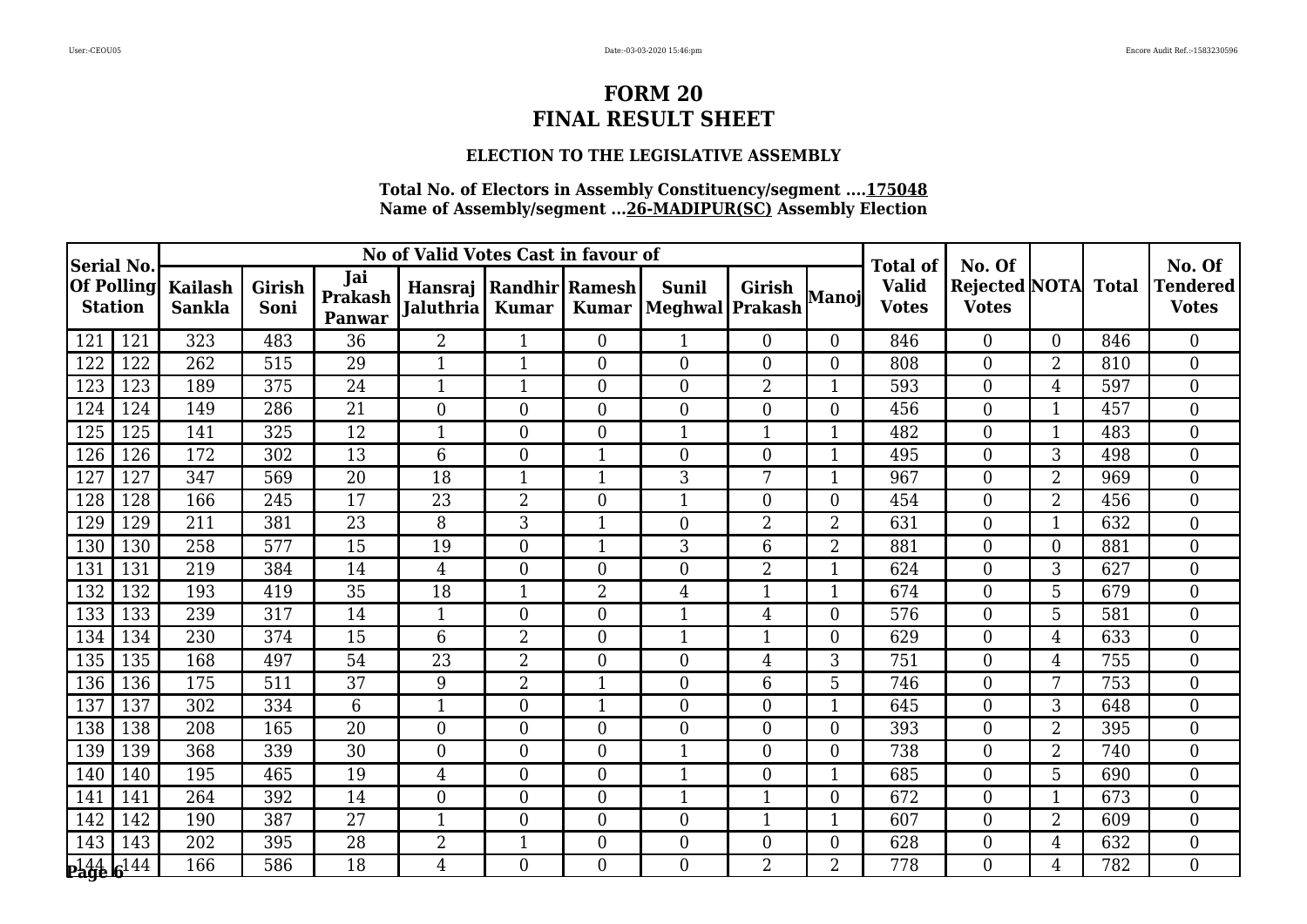### **ELECTION TO THE LEGISLATIVE ASSEMBLY**

| <b>Serial No</b>      |                   |                                 | No of Valid Votes Cast in favour of |                                 |                  |                                              |                  |                                 |                  |                |                                                 | No. Of                              |                |     | No. Of                     |
|-----------------------|-------------------|---------------------------------|-------------------------------------|---------------------------------|------------------|----------------------------------------------|------------------|---------------------------------|------------------|----------------|-------------------------------------------------|-------------------------------------|----------------|-----|----------------------------|
| <b>Station</b>        | <b>Of Polling</b> | <b>Kailash</b><br><b>Sankla</b> | <b>Girish</b><br>Soni               | Jai<br><b>Prakash</b><br>Panwar | <b>Jaluthria</b> | Hansraj   Randhir   Ramesh  <br><b>Kumar</b> | <b>Kumar</b>     | <b>Sunil</b><br>Meghwal Prakash | <b>Girish</b>    | Manoj          | <b>Total of</b><br><b>Valid</b><br><b>Votes</b> | Rejected NOTA Total<br><b>Votes</b> |                |     | Tendered  <br><b>Votes</b> |
| 121                   | 121               | 323                             | 483                                 | 36                              | $\overline{2}$   |                                              | $\boldsymbol{0}$ | $\mathbf{1}$                    | $\overline{0}$   | 0              | 846                                             | $\theta$                            | $\Omega$       | 846 | $\overline{0}$             |
| 122                   | 122               | 262                             | 515                                 | 29                              | $\mathbf{1}$     | $\mathbf{1}$                                 | $\overline{0}$   | $\overline{0}$                  | $\overline{0}$   | $\overline{0}$ | 808                                             | $\overline{0}$                      | 2              | 810 | $\boldsymbol{0}$           |
| 123                   | 123               | 189                             | 375                                 | 24                              | $\mathbf{1}$     | $\mathbf{1}$                                 | $\overline{0}$   | $\boldsymbol{0}$                | $\overline{2}$   | 1              | 593                                             | $\overline{0}$                      | 4              | 597 | $\overline{0}$             |
| 124                   | 124               | 149                             | 286                                 | $\overline{21}$                 | $\theta$         | $\overline{0}$                               | $\theta$         | $\overline{0}$                  | $\overline{0}$   | 0              | 456                                             | $\overline{0}$                      | 1              | 457 | $\mathbf{0}$               |
| 125                   | 125               | 141                             | 325                                 | 12                              | 1                | $\overline{0}$                               | $\overline{0}$   | $\mathbf{1}$                    | $\mathbf 1$      | 1              | 482                                             | $\overline{0}$                      | 1              | 483 | $\overline{0}$             |
| 126                   | 126               | 172                             | 302                                 | 13                              | 6                | $\overline{0}$                               | $\mathbf{1}$     | $\overline{0}$                  | $\overline{0}$   | $\mathbf{1}$   | 495                                             | $\overline{0}$                      | 3              | 498 | $\boldsymbol{0}$           |
| 127                   | 127               | 347                             | 569                                 | 20                              | 18               | $\mathbf{1}$                                 | $\mathbf{1}$     | 3                               | 7                | $\mathbf 1$    | 967                                             | $\overline{0}$                      | $\overline{2}$ | 969 | $\boldsymbol{0}$           |
| 128                   | 128               | 166                             | 245                                 | 17                              | 23               | 2                                            | $\boldsymbol{0}$ | 1                               | $\mathbf{0}$     | $\overline{0}$ | 454                                             | $\overline{0}$                      | $\overline{2}$ | 456 | $\overline{0}$             |
| 129                   | 129               | 211                             | 381                                 | $\overline{23}$                 | 8                | 3                                            |                  | $\mathbf{0}$                    | $\overline{2}$   | $\overline{2}$ | 631                                             | $\mathbf{0}$                        | $\mathbf{1}$   | 632 | $\boldsymbol{0}$           |
| 130                   | 130               | 258                             | 577                                 | 15                              | 19               | $\overline{0}$                               | $\mathbf{1}$     | 3                               | 6                | $\overline{2}$ | 881                                             | $\overline{0}$                      | $\Omega$       | 881 | $\boldsymbol{0}$           |
| 131                   | 131               | 219                             | 384                                 | 14                              | $\overline{4}$   | $\overline{0}$                               | $\theta$         | $\boldsymbol{0}$                | $\overline{2}$   |                | 624                                             | $\overline{0}$                      | 3              | 627 | $\boldsymbol{0}$           |
| 132                   | 132               | 193                             | 419                                 | 35                              | 18               |                                              | $\overline{2}$   | $\overline{4}$                  | $\overline{1}$   | $\overline{1}$ | 674                                             | $\mathbf{0}$                        | 5              | 679 | $\boldsymbol{0}$           |
| 133                   | 133               | 239                             | 317                                 | 14                              | $\mathbf{1}$     | $\overline{0}$                               | $\overline{0}$   | $\mathbf{1}$                    | $\overline{4}$   | $\overline{0}$ | 576                                             | $\boldsymbol{0}$                    | 5              | 581 | $\boldsymbol{0}$           |
| 134                   | 134               | 230                             | 374                                 | 15                              | 6                | $\overline{2}$                               | $\overline{0}$   | $\mathbf{1}$                    | $\mathbf{1}$     | $\Omega$       | 629                                             | $\overline{0}$                      | 4              | 633 | $\boldsymbol{0}$           |
| 135                   | 135               | 168                             | 497                                 | 54                              | 23               | $\overline{2}$                               | $\overline{0}$   | $\boldsymbol{0}$                | $\overline{4}$   | 3              | 751                                             | $\overline{0}$                      | 4              | 755 | $\mathbf{0}$               |
| 136                   | 136               | 175                             | 511                                 | 37                              | 9                | $\overline{2}$                               | $\mathbf{1}$     | $\boldsymbol{0}$                | 6                | 5              | 746                                             | $\mathbf{0}$                        | 7              | 753 | $\boldsymbol{0}$           |
| 137                   | 137               | 302                             | 334                                 | $\overline{6}$                  | $\mathbf{1}$     | $\overline{0}$                               |                  | $\boldsymbol{0}$                | $\boldsymbol{0}$ | $\mathbf{1}$   | 645                                             | $\boldsymbol{0}$                    | 3              | 648 | $\mathbf{0}$               |
| 138                   | 138               | 208                             | 165                                 | $\overline{20}$                 | $\theta$         | $\overline{0}$                               | $\Omega$         | $\overline{0}$                  | $\overline{0}$   | 0              | 393                                             | $\overline{0}$                      | $\overline{2}$ | 395 | $\overline{0}$             |
| 139                   | 139               | 368                             | 339                                 | 30                              | $\overline{0}$   | $\overline{0}$                               | $\overline{0}$   | $\mathbf 1$                     | $\theta$         | 0              | 738                                             | $\theta$                            | $\overline{2}$ | 740 | $\overline{0}$             |
| 140                   | 140               | 195                             | 465                                 | 19                              | $\overline{4}$   | $\overline{0}$                               | $\overline{0}$   | $\mathbf{1}$                    | $\boldsymbol{0}$ | 1              | 685                                             | $\boldsymbol{0}$                    | 5              | 690 | $\boldsymbol{0}$           |
| 141                   | 141               | 264                             | 392                                 | 14                              | $\theta$         | $\overline{0}$                               | $\theta$         | $\mathbf{1}$                    | $\mathbf{1}$     | $\Omega$       | 672                                             | $\mathbf{0}$                        | $\mathbf{1}$   | 673 | $\overline{0}$             |
| 142                   | 142               | 190                             | 387                                 | $\overline{27}$                 | $\mathbf{1}$     | $\overline{0}$                               | $\overline{0}$   | $\overline{0}$                  | $\mathbf{1}$     |                | 607                                             | $\theta$                            | $\overline{2}$ | 609 | $\boldsymbol{0}$           |
| 143                   | 143               | 202                             | 395                                 | $\overline{28}$                 | $\overline{2}$   | $\mathbf{1}$                                 | $\boldsymbol{0}$ | $\boldsymbol{0}$                | $\boldsymbol{0}$ | $\overline{0}$ | 628                                             | $\mathbf{0}$                        | 4              | 632 | $\boldsymbol{0}$           |
| p144 6 <sup>144</sup> |                   | 166                             | 586                                 | 18                              | $\overline{4}$   | $\Omega$                                     | $\Omega$         | $\theta$                        | $\overline{2}$   | 2              | 778                                             | $\Omega$                            | 4              | 782 | $\Omega$                   |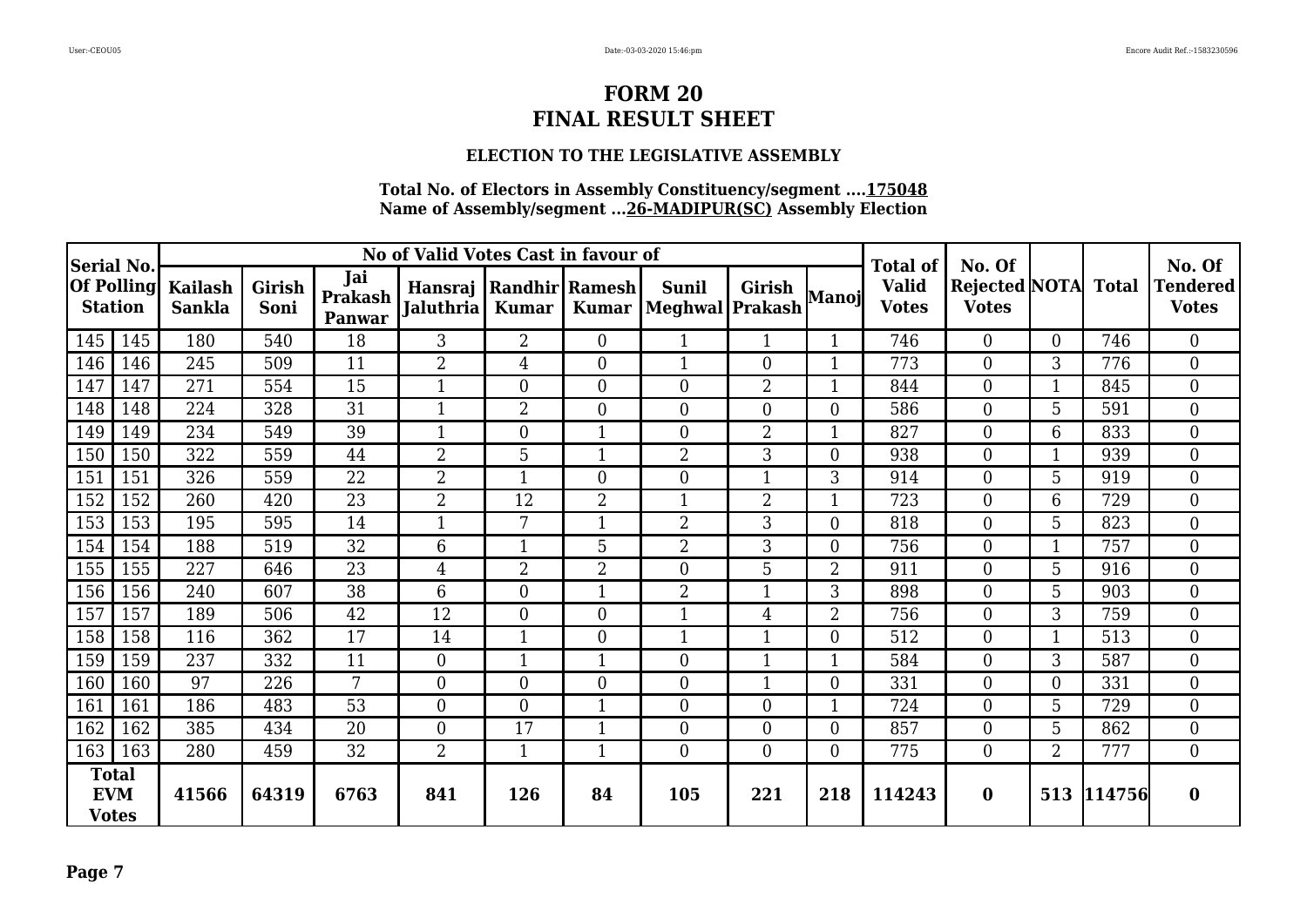### **ELECTION TO THE LEGISLATIVE ASSEMBLY**

| Serial No.                          |     |                                 |                       |                          | No of Valid Votes Cast in favour of |                                 |                |                                       |                  |                | <b>Total of</b>              | No. Of                                     |                |            | No. Of                          |
|-------------------------------------|-----|---------------------------------|-----------------------|--------------------------|-------------------------------------|---------------------------------|----------------|---------------------------------------|------------------|----------------|------------------------------|--------------------------------------------|----------------|------------|---------------------------------|
| <b>Of Polling</b><br><b>Station</b> |     | <b>Kailash</b><br><b>Sankla</b> | <b>Girish</b><br>Soni | Jai<br>Prakash<br>Panwar | Hansraj<br><b>Jaluthria</b>         | Randhir Ramesh <br><b>Kumar</b> | Kumar          | <b>Sunil</b><br>Meghwal Prakash Manoj | Girish           |                | <b>Valid</b><br><b>Votes</b> | <b>Rejected NOTA</b> Total<br><b>Votes</b> |                |            | <b>Tendered</b><br><b>Votes</b> |
| 145                                 | 145 | 180                             | 540                   | 18                       | 3                                   | $\overline{2}$                  | $\overline{0}$ | 1                                     | $\mathbf{1}$     | $\mathbf{1}$   | 746                          | $\theta$                                   | $\Omega$       | 746        | $\theta$                        |
| 146                                 | 146 | 245                             | 509                   | 11                       | $\overline{2}$                      | 4                               | $\overline{0}$ | $\mathbf{1}$                          | $\overline{0}$   |                | 773                          | $\overline{0}$                             | 3              | 776        | $\overline{0}$                  |
| 147                                 | 147 | 271                             | 554                   | 15                       | $\mathbf{1}$                        | $\overline{0}$                  | $\overline{0}$ | $\overline{0}$                        | $\overline{2}$   | $\mathbf{1}$   | 844                          | $\theta$                                   | $\mathbf{1}$   | 845        | $\overline{0}$                  |
| 148                                 | 148 | 224                             | 328                   | 31                       | $\mathbf{1}$                        | $\overline{2}$                  | $\Omega$       | $\overline{0}$                        | $\theta$         | $\Omega$       | 586                          | $\theta$                                   | 5              | 591        | $\overline{0}$                  |
| 149                                 | 149 | 234                             | 549                   | 39                       | $\mathbf{1}$                        | $\overline{0}$                  | 1              | $\overline{0}$                        | $\overline{2}$   | $\mathbf{1}$   | 827                          | $\theta$                                   | 6              | 833        | $\theta$                        |
| 150                                 | 150 | 322                             | 559                   | 44                       | $\overline{2}$                      | 5                               |                | $\overline{2}$                        | 3                | 0              | 938                          | $\theta$                                   |                | 939        | $\overline{0}$                  |
| 151                                 | 151 | 326                             | 559                   | 22                       | $\overline{2}$                      |                                 | $\Omega$       | $\boldsymbol{0}$                      | $\mathbf 1$      | 3              | 914                          | $\theta$                                   | 5              | 919        | $\overline{0}$                  |
| 152                                 | 152 | 260                             | 420                   | 23                       | $\overline{2}$                      | 12                              | $\overline{2}$ | 1                                     | $\overline{2}$   | 1              | 723                          | $\theta$                                   | 6              | 729        | $\boldsymbol{0}$                |
| 153                                 | 153 | 195                             | 595                   | 14                       | $\mathbf{1}$                        | 7                               | 1              | $\overline{2}$                        | 3                | $\Omega$       | 818                          | $\overline{0}$                             | 5              | 823        | $\overline{0}$                  |
| 154                                 | 154 | 188                             | 519                   | $\overline{32}$          | 6                                   |                                 | 5              | $\overline{2}$                        | 3                | $\overline{0}$ | 756                          | $\theta$                                   |                | 757        | $\overline{0}$                  |
| 155                                 | 155 | 227                             | 646                   | 23                       | $\overline{4}$                      | $\overline{2}$                  | $\overline{2}$ | $\overline{0}$                        | 5                | $\overline{2}$ | 911                          | $\theta$                                   | 5              | 916        | $\overline{0}$                  |
| 156                                 | 156 | 240                             | 607                   | 38                       | 6                                   | $\overline{0}$                  | $\mathbf{1}$   | $\overline{2}$                        | $\mathbf{1}$     | 3              | 898                          | $\overline{0}$                             | 5              | 903        | $\overline{0}$                  |
| 157                                 | 157 | 189                             | 506                   | 42                       | 12                                  | $\overline{0}$                  | $\overline{0}$ | $\mathbf{1}$                          | $\overline{4}$   | $\overline{2}$ | 756                          | $\theta$                                   | 3              | 759        | $\overline{0}$                  |
| 158                                 | 158 | 116                             | 362                   | 17                       | 14                                  | $\mathbf{1}$                    | $\Omega$       | $\mathbf{1}$                          | $\mathbf{1}$     | $\Omega$       | 512                          | $\theta$                                   | $\mathbf{1}$   | 513        | $\theta$                        |
| 159                                 | 159 | 237                             | 332                   | 11                       | $\Omega$                            |                                 |                | $\overline{0}$                        | $\mathbf 1$      |                | 584                          | $\theta$                                   | 3              | 587        | $\overline{0}$                  |
| 160                                 | 160 | 97                              | 226                   | $7\overline{ }$          | $\Omega$                            | $\overline{0}$                  | $\overline{0}$ | $\boldsymbol{0}$                      | $\mathbf{1}$     | $\theta$       | 331                          | $\theta$                                   | 0              | 331        | $\overline{0}$                  |
| 161                                 | 161 | 186                             | 483                   | 53                       | $\overline{0}$                      | $\overline{0}$                  |                | $\boldsymbol{0}$                      | $\boldsymbol{0}$ |                | 724                          | $\overline{0}$                             | 5              | 729        | $\boldsymbol{0}$                |
| 162                                 | 162 | 385                             | 434                   | 20                       | $\overline{0}$                      | 17                              | 1              | $\boldsymbol{0}$                      | $\overline{0}$   | $\overline{0}$ | 857                          | $\overline{0}$                             | 5              | 862        | $\boldsymbol{0}$                |
| 163                                 | 163 | 280                             | 459                   | 32                       | $\overline{2}$                      | $\mathbf{1}$                    | $\mathbf{1}$   | $\overline{0}$                        | $\overline{0}$   | $\overline{0}$ | 775                          | $\overline{0}$                             | $\overline{2}$ | 777        | $\boldsymbol{0}$                |
| Total<br><b>EVM</b><br><b>Votes</b> |     | 41566                           | 64319                 | 6763                     | 841                                 | 126                             | 84             | 105                                   | 221              | 218            | 114243                       | $\bf{0}$                                   |                | 513 114756 | $\bf{0}$                        |